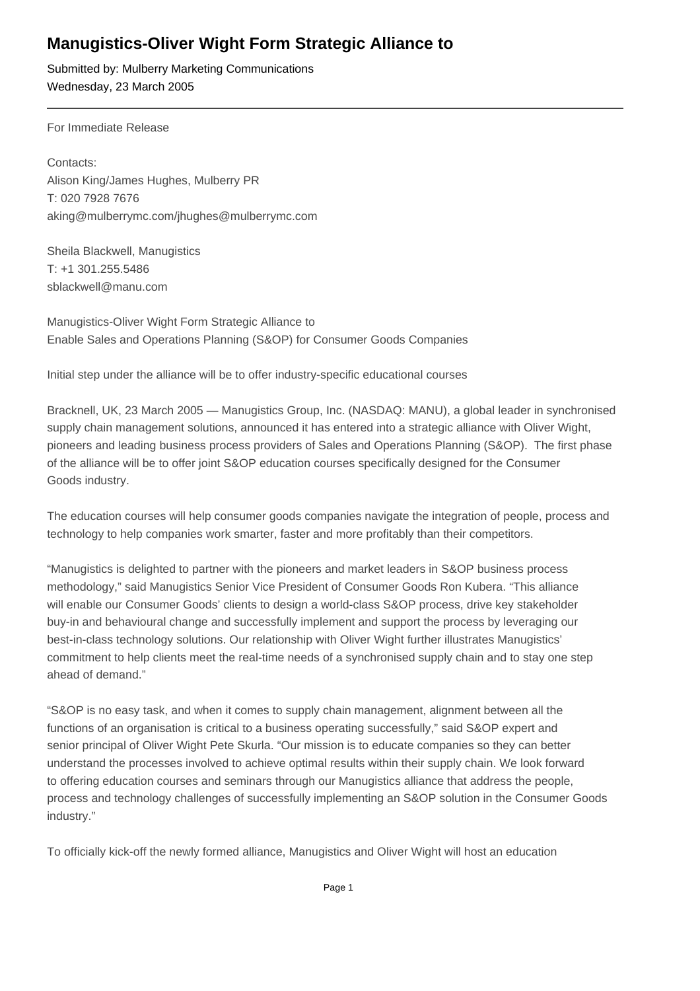## **Manugistics-Oliver Wight Form Strategic Alliance to**

Submitted by: Mulberry Marketing Communications Wednesday, 23 March 2005

For Immediate Release 

Contacts: Alison King/James Hughes, Mulberry PR T: 020 7928 7676 aking@mulberrymc.com/jhughes@mulberrymc.com

Sheila Blackwell, Manugistics T: +1 301.255.5486 sblackwell@manu.com

Manugistics-Oliver Wight Form Strategic Alliance to Enable Sales and Operations Planning (S&OP) for Consumer Goods Companies

Initial step under the alliance will be to offer industry-specific educational courses

Bracknell, UK, 23 March 2005 — Manugistics Group, Inc. (NASDAQ: MANU), a global leader in synchronised supply chain management solutions, announced it has entered into a strategic alliance with Oliver Wight, pioneers and leading business process providers of Sales and Operations Planning (S&OP). The first phase of the alliance will be to offer joint S&OP education courses specifically designed for the Consumer Goods industry.

The education courses will help consumer goods companies navigate the integration of people, process and technology to help companies work smarter, faster and more profitably than their competitors.

"Manugistics is delighted to partner with the pioneers and market leaders in S&OP business process methodology," said Manugistics Senior Vice President of Consumer Goods Ron Kubera. "This alliance will enable our Consumer Goods' clients to design a world-class S&OP process, drive key stakeholder buy-in and behavioural change and successfully implement and support the process by leveraging our best-in-class technology solutions. Our relationship with Oliver Wight further illustrates Manugistics' commitment to help clients meet the real-time needs of a synchronised supply chain and to stay one step ahead of demand."

"S&OP is no easy task, and when it comes to supply chain management, alignment between all the functions of an organisation is critical to a business operating successfully," said S&OP expert and senior principal of Oliver Wight Pete Skurla. "Our mission is to educate companies so they can better understand the processes involved to achieve optimal results within their supply chain. We look forward to offering education courses and seminars through our Manugistics alliance that address the people, process and technology challenges of successfully implementing an S&OP solution in the Consumer Goods industry."

To officially kick-off the newly formed alliance, Manugistics and Oliver Wight will host an education